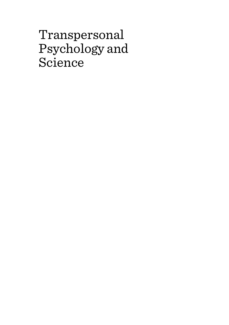# Transpersonal Psychology and Science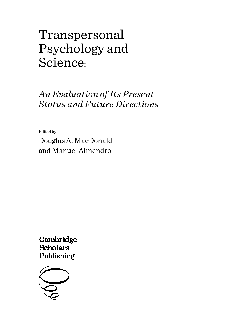# Transpersonal Psychology and Science:

*An Evaluation of Its Present Status and Future Directions*

Edited by

Douglas A. MacDonald and Manuel Almendro

Cambridge **Scholars** Publishing

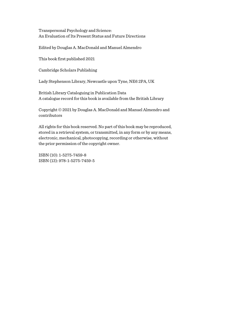Transpersonal Psychology and Science: An Evaluation of Its Present Status and Future Directions

Edited by Douglas A. MacDonald and Manuel Almendro

This book first published 2021

Cambridge Scholars Publishing

Lady Stephenson Library, Newcastle upon Tyne, NE6 2PA, UK

British Library Cataloguing in Publication Data A catalogue record for this book is available from the British Library

Copyright © 2021 by Douglas A. MacDonald and Manuel Almendro and contributors

All rights for this book reserved. No part of this book may be reproduced, stored in a retrieval system, or transmitted, in any form or by any means, electronic, mechanical, photocopying, recording or otherwise, without the prior permission of the copyright owner.

ISBN (10): 1-5275-7459-8 ISBN (13): 978-1-5275-7459-5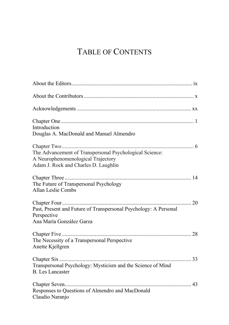# TABLE OF CONTENTS

| Introduction<br>Douglas A. MacDonald and Manuel Almendro                                                                              |
|---------------------------------------------------------------------------------------------------------------------------------------|
| The Advancement of Transpersonal Psychological Science:<br>A Neurophenomenological Trajectory<br>Adam J. Rock and Charles D. Laughlin |
| The Future of Transpersonal Psychology<br>Allan Leslie Combs                                                                          |
| Past, Present and Future of Transpersonal Psychology: A Personal<br>Perspective<br>Ana María González Garza                           |
| The Necessity of a Transpersonal Perspective<br>Anette Kjellgren                                                                      |
| Transpersonal Psychology: Mysticism and the Science of Mind<br><b>B.</b> Les Lancaster                                                |
| Responses to Questions of Almendro and MacDonald<br>Claudio Naranjo                                                                   |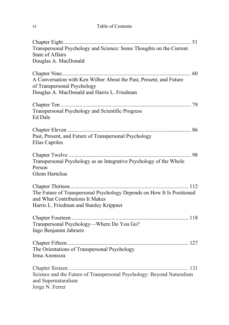| V1 | Table of Contents |
|----|-------------------|
|    |                   |

| Transpersonal Psychology and Science: Some Thoughts on the Current<br><b>State of Affairs</b><br>Douglas A. MacDonald                                |
|------------------------------------------------------------------------------------------------------------------------------------------------------|
| A Conversation with Ken Wilber About the Past, Present, and Future<br>of Transpersonal Psychology<br>Douglas A. MacDonald and Harris L. Friedman     |
| Transpersonal Psychology and Scientific Progress<br>Ed Dale                                                                                          |
| Past, Present, and Future of Transpersonal Psychology<br>Elías Capriles                                                                              |
| Transpersonal Psychology as an Integrative Psychology of the Whole<br>Person<br>Glenn Hartelius                                                      |
| The Future of Transpersonal Psychology Depends on How It Is Positioned<br>and What Contributions It Makes<br>Harris L. Friedman and Stanley Krippner |
| Transpersonal Psychology-Where Do You Go?<br>Ingo Benjamin Jahrsetz                                                                                  |
| The Orientations of Transpersonal Psychology<br>Irma Azomoza                                                                                         |
| Science and the Future of Transpersonal Psychology: Beyond Naturalism<br>and Supernaturalism<br>Jorge N. Ferrer                                      |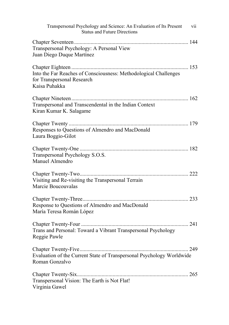| Transpersonal Psychology and Science: An Evaluation of Its Present<br>vii<br><b>Status and Future Directions</b> |
|------------------------------------------------------------------------------------------------------------------|
| Transpersonal Psychology: A Personal View<br>Juan Diego Duque Martínez                                           |
| Into the Far Reaches of Consciousness: Methodological Challenges<br>for Transpersonal Research<br>Kaisa Puhakka  |
| Transpersonal and Transcendental in the Indian Context<br>Kiran Kumar K. Salagame                                |
| Responses to Questions of Almendro and MacDonald<br>Laura Boggio-Gilot                                           |
| Transpersonal Psychology S.O.S.<br>Manuel Almendro                                                               |
| Visiting and Re-visiting the Transpersonal Terrain<br>Marcie Boucouvalas                                         |
| Response to Questions of Almendro and MacDonald<br>María Teresa Román López                                      |
| Trans and Personal: Toward a Vibrant Transpersonal Psychology<br>Reggie Pawle                                    |
| Evaluation of the Current State of Transpersonal Psychology Worldwide<br>Roman Gonzalvo                          |
| Transpersonal Vision: The Earth is Not Flat!<br>Virginia Gawel                                                   |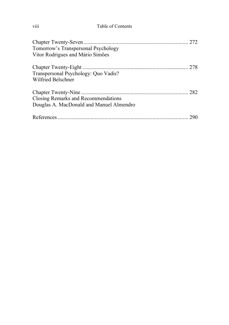| .<br>V111 | Table of Contents |
|-----------|-------------------|
|           |                   |

| Tomorrow's Transpersonal Psychology<br>Vitor Rodrigues and Mário Simões         |  |
|---------------------------------------------------------------------------------|--|
| Transpersonal Psychology: Quo Vadis?<br>Wilfried Belschner                      |  |
| Closing Remarks and Recommendations<br>Douglas A. MacDonald and Manuel Almendro |  |
|                                                                                 |  |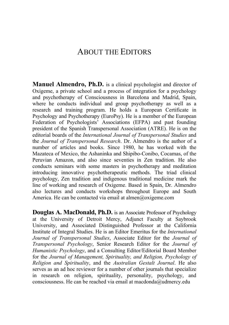# ABOUT THE EDITORS

**Manuel Almendro, Ph.D.** is a clinical psychologist and director of Oxigeme, a private school and a process of integration for a psychology and psychotherapy of Consciousness in Barcelona and Madrid, Spain, where he conducts individual and group psychotherapy as well as a research and training program. He holds a European Certificate in Psychology and Psychotherapy (EuroPsy). He is a member of the European Federation of Psychologists' Associations (EFPA) and past founding president of the Spanish Transpersonal Association (ATRE). He is on the editorial boards of the *International Journal of Transpersonal Studies* and the *Journal of Transpersonal Research*. Dr. Almendro is the author of a number of articles and books. Since 1980, he has worked with the Mazateca of Mexico, the Ashaninka and Shipibo-Conibo, Cocamas, of the Peruvian Amazon, and also since seventies in Zen tradition. He also conducts seminars with some masters in psychotherapy and meditation introducing innovative psychotherapeutic methods. The triad clinical psychology, Zen tradition and indigenous traditional medicine mark the line of working and research of Oxigeme. Based in Spain, Dr. Almendro also lectures and conducts workshops throughout Europe and South America. He can be contacted via email at almen@oxigeme.com

**Douglas A. MacDonald, Ph.D.** is an Associate Professor of Psychology at the University of Detroit Mercy, Adjunct Faculty at Saybrook University, and Associated Distinguished Professor at the California Institute of Integral Studies. He is an Editor Emeritus for the *International Journal of Transpersonal Studies*, Associate Editor for the *Journal of Transpersonal Psychology*, Senior Research Editor for the *Journal of Humanistic Psychology*, and a Consulting Editor/Editorial Board Member for the *Journal of Management, Spirituality, and Religion, Psychology of Religion and Spirituality*, and the *Australian Gestalt Journal*. He also serves as an ad hoc reviewer for a number of other journals that specialize in research on religion, spirituality, personality, psychology, and consciousness. He can be reached via email at macdonda@udmercy.edu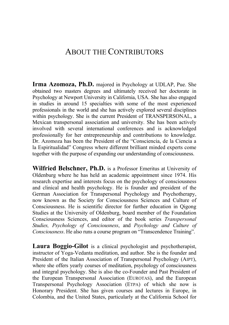### ABOUT THE CONTRIBUTORS

**Irma Azomoza, Ph.D.** majored in Psychology at UDLAP, Pue. She obtained two masters degrees and ultimately received her doctorate in Psychology at Newport University in California, USA. She has also engaged in studies in around 15 specialties with some of the most experienced professionals in the world and she has actively explored several disciplines within psychology. She is the current President of TRANSPERSONAL, a Mexican transpersonal association and university. She has been actively involved with several international conferences and is acknowledged professionally for her entrepreneurship and contributions to knowledge. Dr. Azomoza has been the President of the "Consciencia, de la Ciencia a la Espiritualidad" Congress where different brilliant minded experts come together with the purpose of expanding our understanding of consciousness.

**Wilfried Belschner, Ph.D.** is a Professor Emeritus at University of Oldenburg where he has held an academic appointment since 1974. His research expertise and interests focus on the psychology of consciousness and clinical and health psychology. He is founder and president of the German Association for Transpersonal Psychology and Psychotherapy, now known as the Society for Consciousness Sciences and Culture of Consciousness. He is scientific director for further education in Qigong Studies at the University of Oldenburg, board member of the Foundation Consciousness Sciences, and editor of the book series *Transpersonal Studies, Psychology of Consciousness*, and *Psychology and Culture of Consciousness*. He also runs a course program on "Transcendence Training".

**Laura Boggio-Gilot** is a clinical psychologist and psychotherapist, instructor of Yoga-Vedanta meditation, and author. She is the founder and President of the Italian Association of Transpersonal Psychology (AIPT), where she offers yearly courses of meditation, psychology of consciousness and integral psychology. She is also the co-Founder and Past President of the European Transpersonal Association (EUROTAS), and the European Transpersonal Psychology Association (ETPA) of which she now is Honorary President. She has given courses and lectures in Europe, in Colombia, and the United States, particularly at the California School for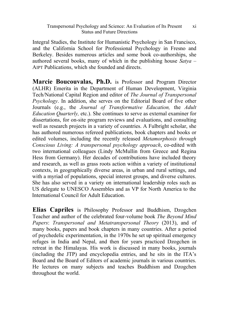Integral Studies, the Institute for Humanistic Psychology in San Francisco, and the California School for Professional Psychology in Fresno and Berkeley. Besides numerous articles and some book co-authorships, she authored several books, many of which in the publishing house *Satya* – AIPT Publications, which she founded and directs.

**Marcie Boucouvalas, Ph.D.** is Professor and Program Director (ALHR) Emerita in the Department of Human Development, Virginia Tech/National Capital Region and editor of *The Journal of Transpersonal Psychology*. In addition, she serves on the Editorial Board of five other Journals (e.g., the *Journal of Transformative Education,* the *Adult Education Quarterly,* etc.). She continues to serve as external examiner for dissertations, for on-site program reviews and evaluations, and consulting well as research projects in a variety of countries. A Fulbright scholar, she has authored numerous refereed publications, book chapters and books or edited volumes, including the recently released *Metamorphosis through Conscious Living: A transpersonal psychology approach*, co-edited with two international colleagues (Lindy McMullin from Greece and Regina Hess from Germany). Her decades of contributions have included theory and research, as well as grass roots action within a variety of institutional contexts, in geographically diverse areas, in urban and rural settings, and with a myriad of populations, special interest groups, and diverse cultures. She has also served in a variety on international leadership roles such as US delegate to UNESCO Assembles and as VP for North America to the International Council for Adult Education.

**Elias Capriles** is Philosophy Professor and Buddhism, Dzogchen Teacher and author of the celebrated four-volume book *The Beyond Mind Papers*: *Transpersonal and Metatranspersonal Theory* (2013), and of many books, papers and book chapters in many countries. After a period of psychedelic experimentation, in the 1970s he set up spiritual emergency refuges in India and Nepal, and then for years practiced Dzogchen in retreat in the Himalayas. His work is discussed in many books, journals (including the JTP) and encyclopedia entries, and he sits in the ITA's Board and the Board of Editors of academic journals in various countries. He lectures on many subjects and teaches Buddhism and Dzogchen throughout the world.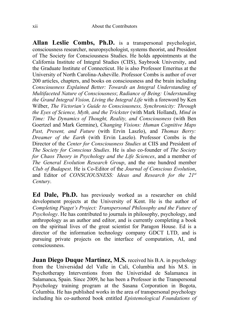**Allan Leslie Combs, Ph.D.** is a transpersonal psychologist, consciousness researcher, neuropsychologist, systems theorist, and President of The Society for Consciousness Studies. He holds appointments at the California Institute of Integral Studies (CIIS), Saybrook University, and the Graduate Institute of Connecticut. He is also Professor Emeritus at the University of North Carolina-Asheville. Professor Combs is author of over 200 articles, chapters, and books on consciousness and the brain including *Consciousness Explained Better: Towards an Integral Understanding of Multifaceted Nature of Consciousness*; *Radiance of Being: Understanding the Grand Integral Vision, Living the Integral Life* with a foreword by Ken Wilber, *The Victorian's Guide to Consciousness, Synchronicity: Through the Eyes of Science, Myth, and the Trickster* (with Mark Holland), *Mind in Time: The Dynamics of Thought, Reality, and Consciousness* (with Ben Goertzel and Mark Germine), *Changing Visions: Human Cognitive Maps Past, Present, and Future* (with Ervin Laszlo), and *Thomas Berry: Dreamer of the Earth* (with Ervin Laszlo). Professor Combs is the Director of the *Center for Consciousness Studies* at CIIS and President of *The Society for Conscious Studies*. He is also co-founder of *The Society for Chaos Theory in Psychology and the Life Sciences*, and a member of *The General Evolution Research Group*, and the one hundred member *Club of Budapest*. He is Co-Editor of the *Journal of Conscious Evolution*, and Editor of *CONSCIOUSNESS: Ideas and Research for the 21st Century*.

**Ed Dale, Ph.D.** has previously worked as a researcher on child development projects at the University of Kent. He is the author of *Completing Piaget's Project: Transpersonal Philosophy and the Future of Psychology*. He has contributed to journals in philosophy, psychology, and anthropology as an author and editor, and is currently completing a book on the spiritual lives of the great scientist for Paragon House. Ed is a director of the information technology company GDCT LTD, and is pursuing private projects on the interface of computation, AI, and consciousness.

**Juan Diego Duque Martínez, M.S.** received his B.A. in psychology from the Universidad del Valle in Cali, Columbia and his M.S. in Psychotherapy Interventions from the Univeridad de Salamanca in Salamanca, Spain. Since 2009, he has been a Professor in the Transpersonal Psychology training program at the Sasana Corporation in Bogota, Columbia. He has published works in the area of transpersonal psychology including his co-authored book entitled *Epistemological Foundations of*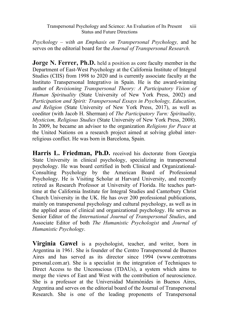*Psychology – with an Emphasis on Transpersonal Psychology,* and he serves on the editorial board for the *Journal of Transpersonal Research.*

**Jorge N. Ferrer, Ph.D.** held a position as core faculty member in the Department of East-West Psychology at the California Institute of Integral Studies (CIIS) from 1998 to 2020 and is currently associate faculty at the Instituto Transpersonal Integrativo in Spain. He is the award-winning author of *Revisioning Transpersonal Theory: A Participatory Vision of Human Spirituality* (State University of New York Press, 2002) and *Participation and Spirit: Transpersonal Essays in Psychology, Education, and Religion* (State University of New York Press, 2017), as well as coeditor (with Jacob H. Sherman) of *The Participatory Turn: Spirituality, Mysticism, Religious Studies* (State University of New York Press, 2008). In 2009, he became an advisor to the organization *Religions for Peace* at the United Nations on a research project aimed at solving global interreligious conflict. He was born in Barcelona, Spain.

**Harris L. Friedman, Ph.D.** received his doctorate from Georgia State University in clinical psychology, specializing in transpersonal psychology. He was board certified in both Clinical and Organizational-Consulting Psychology by the American Board of Professional Psychology. He is Visiting Scholar at Harvard University, and recently retired as Research Professor at University of Florida. He teaches parttime at the California Institute for Integral Studies and Canterbury Christ Church University in the UK. He has over 200 professional publications, mainly on transpersonal psychology and cultural psychology, as well as in the applied areas of clinical and organizational psychology. He serves as Senior Editor of the *International Journal of Transpersonal Studies*, and Associate Editor of both *The Humanistic Psychologist* and *Journal of Humanistic Psychology*.

**Virginia Gawel** is a psychologist, teacher, and writer, born in Argentina in 1961. She is founder of the Centro Transpersonal de Buenos Aires and has served as its director since 1994 (www.centrotrans personal.com.ar). She is a specialist in the integration of Techniques to Direct Access to the Unconscious (TDAUs), a system which aims to merge the views of East and West with the contribution of neuroscience. She is a professor at the Universidad Maimónides in Buenos Aires, Argentina and serves on the editorial board of the Journal of Transpersonal Research. She is one of the leading proponents of Transpersonal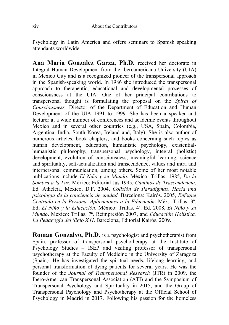Psychology in Latin America and offers seminars to Spanish speaking attendants worldwide.

**Ana Maria Gonzalez Garza, Ph.D.** received her doctorate in Integral Human Development from the Iberoamericana University (UIA) in Mexico City and is a recognized pioneer of the transpersonal approach in the Spanish-speaking world. In 1986 she introduced the transpersonal approach to therapeutic, educational and developmental processes of consciousness at the UIA. One of her principal contributions to transpersonal thought is formulating the proposal on the *Spiral of Consciousness.* Director of the Department of Education and Human Development of the UIA 1991 to 1999. She has been a speaker and lecturer at a wide number of conferences and academic events throughout Mexico and in several other countries (e.g., USA, Spain, Colombia, Argentina, India, South Korea, Ireland and, Italy). She is also author of numerous articles, book chapters, and books concerning such topics as human development, education, humanistic psychology, existentialhumanistic philosophy, transpersonal psychology, integral (holistic) development, evolution of consciousness, meaningful learning, science and spirituality, self-actualization and transcendence, values and intra and interpersonal communication, among others. Some of her most notable publications include *El Niño y su Mundo*. México: Trillas. 1985, *De la Sombra a la Luz*. México: Editorial Jus 1995, *Caminos de Trascendencia*. Ed. Atheleia, México, D.F. 2004, *Colisión de Paradigmas*. *Hacia una psicologia de la conciencia de unidad.* Barcelona: Kairós. 2005, *Enfoque Centrado en la Persona. Aplicaciones a la Educación*. Méx,: Trillas. 3ª. Ed, *El Niño y la Educación*. México: Trillas. 4ª. Ed. 2008, *El Niño y su Mundo*. México: Trillas. 7ª. Reimpresión 2007, and *Educación Holística. La Pedagogía del Siglo XXI*. Barcelona, Editorial Kairós. 2009.

**Roman Gonzalvo, Ph.D.** is a psychologist and psychotherapist from Spain, professor of transpersonal psychotherapy at the Institute of Psychology Studies – ISEP and visiting professor of transpersonal psychotherapy at the Faculty of Medicine in the University of Zaragoza (Spain). He has investigated the spiritual needs, lifelong learning, and personal transformation of dying patients for several years. He was the founder of the *Journal of Transpersonal Research* (JTR) in 2009, the Ibero-American Transpersonal Association (ATI) and the Symposium of Transpersonal Psychology and Spirituality in 2015, and the Group of Transpersonal Psychology and Psychotherapy at the Official School of Psychology in Madrid in 2017. Following his passion for the homeless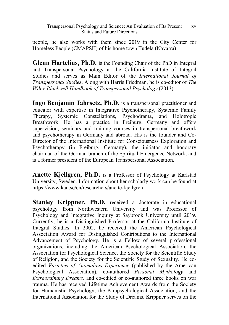people, he also works with them since 2019 in the City Center for Homeless People (CMAPSH) of his home town Tudela (Navarra).

**Glenn Hartelius, Ph.D.** is the Founding Chair of the PhD in Integral and Transpersonal Psychology at the California Institute of Integral Studies and serves as Main Editor of the *International Journal of Transpersonal Studies*. Along with Harris Friedman, he is co-editor of *The Wiley-Blackwell Handbook of Transpersonal Psychology* (2013).

**Ingo Benjamin Jahrsetz, Ph.D.** is a transpersonal practitioner and educator with expertise in Integrative Psychotherapy, Systemic Family Therapy, Systemic Constellations, Psychodrama, and Holotropic Breathwork. He has a practice in Freiburg, Germany and offers supervision, seminars and training courses in transpersonal breathwork and psychotherapy in Germany and abroad. His is the founder and Co-Director of the International Institute for Consciousness Exploration and Psychotherapy (in Freiburg, Germany), the initiator and honorary chairman of the German branch of the Spiritual Emergence Network, and is a former president of the European Transpersonal Association.

**Anette Kjellgren, Ph.D.** is a Professor of Psychology at Karlstad University, Sweden. Information about her scholarly work can be found at https://www.kau.se/en/researchers/anette-kjellgren

**Stanley Krippner, Ph.D.** received a doctorate in educational psychology from Northwestern University and was Professor of Psychology and Integrative Inquiry at Saybrook University until 2019. Currently, he is a Distinguished Professor at the California Institute of Integral Studies. In 2002, he received the American Psychological Association Award for Distinguished Contributions to the International Advancement of Psychology. He is a Fellow of several professional organizations, including the American Psychological Association, the Association for Psychological Science, the Society for the Scientific Study of Religion, and the Society for the Scientific Study of Sexuality. He coedited *Varieties of Anomalous Experience* (published by the American Psychological Association), co-authored *Personal Mythology* and *Extraordinary Dreams,* and co-edited or co-authored three books on war trauma. He has received Lifetime Achievement Awards from the Society for Humanistic Psychology, the Parapsychological Association, and the International Association for the Study of Dreams. Krippner serves on the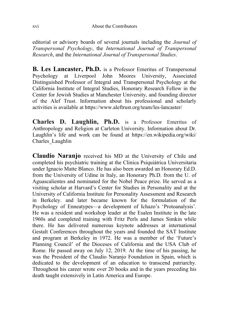editorial or advisory boards of several journals including the *Journal of Transpersonal Psychology*, the *International Journal of Transpersonal Research*, and the *International Journal of Transpersonal Studies*.

**B. Les Lancaster, Ph.D.** is a Professor Emeritus of Transpersonal Psychology at Liverpool John Moores University, Associated Distinguished Professor of Integral and Transpersonal Psychology at the California Institute of Integral Studies, Honorary Research Fellow in the Center for Jewish Studies at Manchester University, and founding director of the Alef Trust. Information about his professional and scholarly activities is available at https://www.aleftrust.org/team/les-lancaster/

**Charles D. Laughlin, Ph.D.** is a Professor Emeritus of Anthropology and Religion at Carleton University. Information about Dr. Laughlin's life and work can be found at <https://en.wikipedia.org/wiki/> Charles\_Laughlin

**Claudio Naranjo** received his MD at the University of Chile and completed his psychiatric training at the Clinica Psiquiátrica Universitaria under Ignacio Matte Blanco. He has also been awarded an Honorary Ed.D. from the University of Udine in Italy, an Honorary Ph.D. from the U. of Aguascalientes and nominated for the Nobel Peace prize. He served as a visiting scholar at Harvard's Center for Studies in Personality and at the University of California Institute for Personality Assessment and Research in Berkeley. and later became known for the formulation of the Psychology of Enneatypes—a development of Ichazo's 'Protoanalysis'. He was a resident and workshop leader at the Esalen Institute in the late 1960s and completed training with Fritz Perls and James Simkin while there. He has delivered numerous keynote addresses at international Gestalt Conferences throughout the years and founded the SAT Institute and program at Berkeley in 1972. He was a member of the 'Future's Planning Council' of the Dioceses of California and the USA Club of Rome. He passed away on July 12, 2019. At the time of his passing, he was the President of the Claudio Naranjo Foundation in Spain, which is dedicated to the development of an education to transcend patriarchy. Throughout his career wrote over 20 books and in the years preceding his death taught extensively in Latin America and Europe.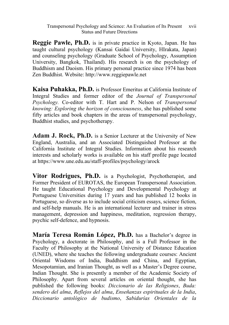**Reggie Pawle, Ph.D.** is in private practice in Kyoto, Japan. He has taught cultural psychology (Kansai Gaidai University, HIrakata, Japan) and counseling psychology (Graduate School of Psychology, Assumption University, Bangkok, Thailand). His research is on the psychology of Buddhism and Daoism. His primary personal practice since 1974 has been Zen Buddhist. Website: http://www.reggiepawle.net

**Kaisa Puhakka, Ph.D.** is Professor Emeritus at California Institute of Integral Studies and former editor of the *Journal of Transpersonal Psychology.* Co-editor with T. Hart and P. Nelson of *Transpersonal knowing: Exploring the horizon of consciousness*, she has published some fifty articles and book chapters in the areas of transpersonal psychology, Buddhist studies, and psychotherapy.

**Adam J. Rock, Ph.D.** is a Senior Lecturer at the University of New England, Australia, and an Associated Distinguished Professor at the California Institute of Integral Studies. Information about his research interests and scholarly works is available on his staff profile page located at https://www.une.edu.au/staff-profiles/psychology/arock

**Vitor Rodrigues, Ph.D.** is a Psychologist, Psychotherapist, and Former President of EUROTAS, the European Transpersonal Association. He taught Educational Psychology and Developmental Psychology at Portuguese Universities during 17 years and has published 12 books in Portuguese, so diverse as to include social criticism essays, science fiction, and self-help manuals. He is an international lecturer and trainer in stress management, depression and happiness, meditation, regression therapy, psychic self-defence, and hypnosis.

**María Teresa Román López, Ph.D.** has a Bachelor's degree in Psychology, a doctorate in Philosophy, and is a Full Professor in the Faculty of Philosophy at the National University of Distance Education (UNED), where she teaches the following undergraduate courses: Ancient Oriental Wisdoms of India, Buddhism and China, and Egyptian, Mesopotamian, and Iranian Thought, as well as a Master's Degree course, Indian Thought. She is presently a member of the Academic Society of Philosophy. Apart from several articles on oriental thought, she has published the following books: *Diccionario de las Religiones*, *Buda: sendero del alma*, *Reflejos del alma*, *Enseñanzas espirituales de la India*, *Diccionario antológico de budismo*, *Sabidurías Orientales de la*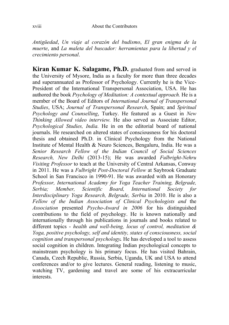*Antigüedad*, *Un viaje al corazón del budismo*, *El gran enigma de la muerte*, and *La maleta del buscador: herramientas para la libertad y el crecimiento personal*.

**Kiran Kumar K. Salagame, Ph.D.** graduated from and served in the University of Mysore, India as a faculty for more than three decades and superannuated as Professor of Psychology. Currently he is the Vice-President of the International Transpersonal Association, USA. He has authored the book *Psychology of Meditation: A contextual approach.* He is a member of the Board of Editors of *International Journal of Transpersonal Studies*, USA; *Journal of Transpersonal Research*, Spain; and *Spiritual Psychology and Counselling*, Turkey. He featured as a Guest in *New Thinking Allowed video interview.* He also served as Associate Editor, *Psychological Studies, India.* He in on the editorial board of national journals. He researched on altered states of consciousness for his doctoral thesis and obtained Ph.D. in Clinical Psychology from the National Institute of Mental Health & Neuro Sciences, Bengaluru, India. He was a *Senior Research Fellow of the Indian Council of Social Sciences Research, New Delhi* (2013-15); He was awarded *Fulbright-Nehru Visiting Professor* to teach at the University of Central Arkansas, Conway in 2011. He was a *Fulbright Post-Doctoral Fellow* at Saybrook Graduate School in San Francisco in 1990-91. He was awarded with an Honorary *Professor, International Academy for Yoga Teacher Training, Belgrade, Serbia; Member, Scientific Board, International Society for Interdisciplinary Yoga Research, Belgrade, Serbia* in 2010. He is also a *Fellow of the Indian Association of Clinical Psychologists and* the *Association* presented *Psycho-Award in 2006* for his distinguished contributions to the field of psychology. He is known nationally and internationally through his publications in journals and books related to different topics - *health and well-being, locus of control, meditation & Yoga, positive psychology, self and identity, states of consciousness, social cognition and transpersonal psychology.* He has developed a tool to assess social cognition in children. Integrating Indian psychological concepts to mainstream psychology is his primary focus. He has visited Bahrain, Canada, Czech Republic, Russia, Serbia, Uganda, UK and USA to attend conferences and/or to give lectures. General reading, listening to music, watching TV, gardening and travel are some of his extracurricular interests.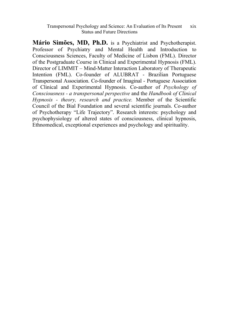**Mário Simões, MD, Ph.D.** is a Psychiatrist and Psychotherapist. Professor of Psychiatry and Mental Health and Introduction to Consciousness Sciences, Faculty of Medicine of Lisbon (FML). Director of the Postgraduate Course in Clinical and Experimental Hypnosis (FML). Director of LIMMIT – Mind-Matter Interaction Laboratory of Therapeutic Intention (FML). Co-founder of ALUBRAT - Brazilian Portuguese Transpersonal Association. Co-founder of Imaginal - Portuguese Association of Clinical and Experimental Hypnosis. Co-author of *Psychology of Consciousness - a transpersonal perspective* and the *Handbook of Clinical Hypnosis - theory, research and practice.* Member of the Scientific Council of the Bial Foundation and several scientific journals. Co-author of Psychotherapy "Life Trajectory". Research interests: psychology and psychophysiology of altered states of consciousness, clinical hypnosis, Ethnomedical, exceptional experiences and psychology and spirituality.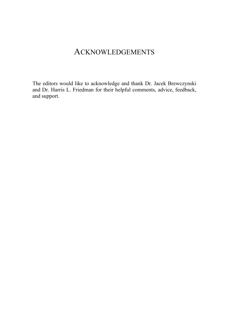# ACKNOWLEDGEMENTS

The editors would like to acknowledge and thank Dr. Jacek Brewczynski and Dr. Harris L. Friedman for their helpful comments, advice, feedback, and support.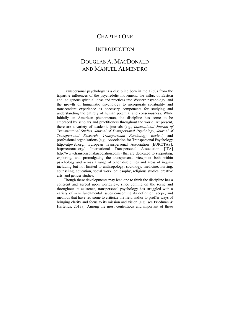### CHAPTER ONE

### **INTRODUCTION**

# DOUGLAS A. MACDONALD AND MANUEL ALMENDRO

Transpersonal psychology is a discipline born in the 1960s from the tripartite influences of the psychedelic movement, the influx of Eastern and indigenous spiritual ideas and practices into Western psychology, and the growth of humanistic psychology to incorporate spirituality and transcendent experience as necessary components for studying and understanding the entirety of human potential and consciousness. While initially an American phenomenon, the discipline has come to be embraced by scholars and practitioners throughout the world. At present, there are a variety of academic journals (e.g., *International Journal of Transpersonal Studies, Journal of Transpersonal Psychology, Journal of Transpersonal Research, Transpersonal Psychology Review*) and professional organizations (e.g., Association for Transpersonal Psychology http://atpweb.org/; European Transpersonal Association [EUROTAS], http://eurotas.org/; International Transpersonal Association [ITA] http://www.transpersonalassociation.com/) that are dedicated to supporting, exploring, and promulgating the transpersonal viewpoint both within psychology and across a range of other disciplines and areas of inquiry including but not limited to anthropology, sociology, medicine, nursing, counseling, education, social work, philosophy, religious studies, creative arts, and gender studies.

Though these developments may lead one to think the discipline has a coherent and agreed upon worldview, since coming on the scene and throughout its existence, transpersonal psychology has struggled with a variety of very fundamental issues concerning its definition, scope, and methods that have led some to criticize the field and/or to proffer ways of bringing clarity and focus to its mission and vision (e.g., see Friedman & Hartelius, 2013a). Among the most contentious and important of these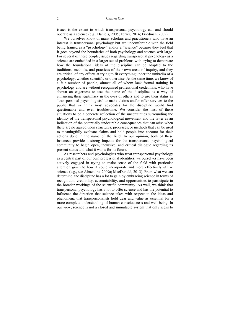issues is the extent to which transpersonal psychology can and should operate as a science (e.g., Daniels, 2005; Ferrer, 2014; Friedman, 2002).

We ourselves know of many scholars and practitioners who have an interest in transpersonal psychology but are uncomfortable with the field being framed as a "psychology" and/or a "science" because they feel that it goes beyond the boundaries of both psychology and science writ large. For several of these people, issues regarding transpersonal psychology as a science are embedded in a larger set of problems with trying to demarcate how the foundational ideas of the discipline can be adapted to the traditions, methods, and practices of their own areas of inquiry, and they are critical of any efforts at trying to fit everything under the umbrella of a psychology, whether scientific or otherwise. At the same time, we know of a fair number of people, almost all of whom lack formal training in psychology and are without recognized professional credentials, who have shown an eagerness to use the name of the discipline as a way of enhancing their legitimacy in the eyes of others and to use their status as "transpersonal psychologists" to make claims and/or offer services to the public that we think most advocates for the discipline would find questionable and even troublesome. We consider the first of these situations to be a concrete reflection of the uncertainties surrounding the identity of the transpersonal psychological movement and the latter as an indication of the potentially undesirable consequences that can arise when there are no agreed upon structures, processes, or methods that can be used to meaningfully evaluate claims and hold people into account for their actions done in the name of the field. In our opinion, both of these instances provide a strong impetus for the transpersonal psychological community to begin open, inclusive, and critical dialogue regarding its present status and what it wants for its future.

As researchers and psychologists who treat transpersonal psychology as a central part of our own professional identities, we ourselves have been actively engaged in trying to make sense of the field with particular attention given to how it could incorporate and more effectively utilize science (e.g., see Almendro, 2009a; MacDonald, 2013). From what we can determine, the discipline has a lot to gain by embracing science in terms of recognition, credibility, accountability, and opportunities to participate in the broader workings of the scientific community. As well, we think that transpersonal psychology has a lot to offer science and has the potential to influence the direction that science takes with respect to the ideas and phenomena that transpersonalists hold dear and value as essential for a more complete understanding of human consciousness and well-being. In our view, science is not a closed and immutable system that only seeks to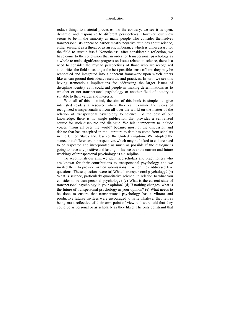#### Introduction 3

reduce things to material processes. To the contrary, we see it as open, dynamic, and responsive to different perspectives. However, our view seems to be in the minority as many people who consider themselves transpersonalists appear to harbor mostly negative attitudes about science, either seeing it as a threat or as an encumberance which is unnecessary for the field to sustain itself. Nonetheless, after considerable reflection, we have come to the conclusion that in order for transpersonal psychology as a whole to make significant progress on issues related to science, there is a need to consider the myriad perspectives of those who are recognized authorities the field so as to get the best possible sense of how they may be reconciled and integrated into a coherent framework upon which others like us can ground their ideas, research, and practices. In turn, we see this having tremendous implications for addressing the larger issues of discipline identity as it could aid people in making determinations as to whether or not transpersonal psychology or another field of inquiry is suitable to their values and interests.

With all of this in mind, the aim of this book is simple—to give interested readers a resource where they can examine the views of recognized transpersonalists from all over the world on the matter of the relation of transpersonal psychology to science. To the best of our knowledge, there is no single publication that provides a centralized source for such discourse and dialogue. We felt it important to include voices "from all over the world" because most of the discussion and debate that has transpired in the literature to date has come from scholars in the United States and, less so, the United Kingdom. We adopted the stance that differences in perspectives which may be linked to culture need to be respected and incorporated as much as possible if the dialogue is going to have any positive and lasting influence over the current and future workings of transpersonal psychology as a discipline.

To accomplish our aim, we identified scholars and practitioners who are known for their contributions to transpersonal psychology and we invited them to provide written submissions in which they addressed five questions. These questions were (a) What is transpersonal psychology? (b) What is science, particularly quantitative science, in relation to what you consider to be transpersonal psychology? (c) What is the current state of transpersonal psychology in your opinion? (d) If nothing changes, what is the future of transpersonal psychology in your opinion? (e) What needs to be done to ensure that transpersonal psychology has a vibrant and productive future? Invitees were encouraged to write whatever they felt as being most reflective of their own point of view and were told that they could be as personal or as scholarly as they liked. The only constraint that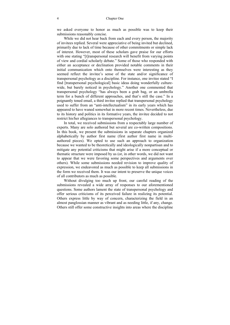we asked everyone to honor as much as possible was to keep their submissions reasonably concise.

While we did not hear back from each and every person, the majority of invitees replied. Several were appreciative of being invited but declined, primarily due to lack of time because of other commitments or simple lack of interest. However, most of these scholars gave praise for our efforts with one stating "[t]ranspersonal research will benefit from varying points of view and cordial scholarly debate." Some of those who responded with either an acceptance or declination provided notable comments in their initial communication which onto themselves were interesting as they seemed reflect the invitee's sense of the state and/or significance of transpersonal psychology as a discipline. For instance, one invitee stated "I find [transpersonal psychological] basic ideas doing wonderfully culturewide, but barely noticed in psychology." Another one commented that transpersonal psychology "has always been a grab bag, or an umbrella term for a bunch of different approaches, and that's still the case." In a poignantly toned email, a third invitee replied that transpersonal psychology used to suffer from an "anti-intellectualism" in its early years which has appeared to have waned somewhat in more recent times. Nevertheless, due to its history and politics in its formative years, the invitee decided to not restrict his/her allegiances to transpersonal psychology.

In total, we received submissions from a respectably large number of experts. Many are solo authored but several are co-written compositions. In this book, we present the submissions in separate chapters organized alphabetically by author first name (first author first name in multiauthored pieces). We opted to use such an approach to organization because we wanted to be theoretically and ideologically nonpartisan and to mitigate any potential criticisms that might arise if a more conceptual or thematic structure were imposed by us (or, in other words, we did not want to appear that we were favoring some perspectives and arguments over others). While some submissions needed revision to improve quality of expression, we endeavored as much as possible to keep all submissions in the form we received them. It was our intent to preserve the unique voices of all contributors as much as possible.

Without divulging too much up front, our careful reading of the submissions revealed a wide array of responses to our aforementioned questions. Some authors lament the state of transpersonal psychology and offer serious criticisms of its perceived failure in realizing its potential. Others express little by way of concern, characterizing the field in an almost panglossian manner as vibrant and as needing little, if any, change. Others still offer some constructive insights into areas where the discipline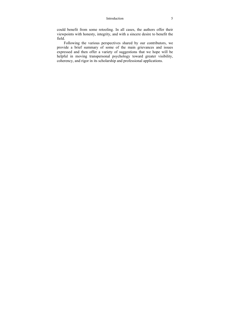#### Introduction 5

could benefit from some retooling. In all cases, the authors offer their viewpoints with honesty, integrity, and with a sincere desire to benefit the field.

Following the various perspectives shared by our contributors, we provide a brief summary of some of the main grievances and issues expressed and then offer a variety of suggestions that we hope will be helpful in moving transpersonal psychology toward greater visibility, coherency, and rigor in its scholarship and professional applications.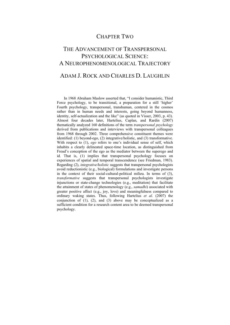## CHAPTER TWO

# THE ADVANCEMENT OF TRANSPERSONAL PSYCHOLOGICAL SCIENCE: A NEUROPHENOMENOLOGICAL TRAJECTORY

## ADAM J. ROCK AND CHARLES D. LAUGHLIN

In 1968 Abraham Maslow asserted that, "I consider humanistic, Third Force psychology, to be transitional, a preparation for a still 'higher' Fourth psychology, transpersonal, transhuman, centered in the cosmos rather than in human needs and interests, going beyond humanness, identity, self-actualization and the like" (as quoted in Visser, 2003, p. 43). Almost four decades later, Hartelius, Caplan, and Rardin (2007) thematically analyzed 160 definitions of the term *transpersonal psychology* derived from publications and interviews with transpersonal colleagues from 1968 through 2002. Three comprehensive constituent themes were identified: (1) beyond-ego, (2) integrative/holistic, and (3) transformative. With respect to (1), *ego* refers to one's individual sense of self, which inhabits a clearly delineated space-time location, as distinguished from Freud's conception of the ego as the mediator between the superego and id. That is, (1) implies that transpersonal psychology focuses on experiences of spatial and temporal transcendence (see Friedman, 1983). Regarding (2), *integrative/holistic* suggests that transpersonal psychologists avoid reductionistic (e.g., biological) formulations and investigate persons in the context of their social-cultural-political milieu. In terms of (3), *transformative* suggests that transpersonal psychologists investigate injunctions or state-change technologies (e.g., meditation) that facilitate the attainment of states of phenomenology (e.g., *samadhi*) associated with greater positive affect (e.g., joy, love) and meaningfulness compared to ordinary waking states. Thus, following Hartelius *et al*. (2007) the conjunction of  $(1)$ ,  $(2)$ , and  $(3)$  above may be conceptualized as a sufficient condition for a research content area to be deemed transpersonal psychology.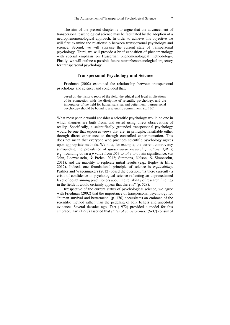The aim of the present chapter is to argue that the advancement of transpersonal psychological science may be facilitated by the adoption of a neurophenomenological approach. In order to achieve this objective we will first examine the relationship between transpersonal psychology and science. Second, we will appraise the current state of transpersonal psychology. Third, we will provide a brief exposition of phenomenology with special emphasis on Husserlian phenomenological methodology. Finally, we will outline a possible future neurophenomenological trajectory for transpersonal psychology.

### **Transpersonal Psychology and Science**

 Friedman (2002) examined the relationship between transpersonal psychology and science, and concluded that,

based on the historic roots of the field, the ethical and legal implications of its connection with the discipline of scientific psychology, and the importance of the field for human survival and betterment, transpersonal psychology should be bound to a scientific commitment. (p. 176)

What most people would consider a scientific psychology would be one in which theories are built from, and tested using direct observations of reality. Specifically, a scientifically grounded transpersonal psychology would be one that espouses views that are, in principle, falsifiable either through direct experience or through controlled experimentation. This does not mean that everyone who practices scientific psychology agrees upon appropriate methods. We note, for example, the current controversy surrounding the prevalence of *questionable research practices* (QRPs; e.g., rounding down a *p* value from .053 to .049 to obtain significance; *see* John, Loewenstein, & Prelec, 2012; Simmons, Nelson, & Simonsohn,  $2011$ ), and the inability to replicate initial results (e.g., Begley & Ellis, 2012). Indeed, one foundational principle of science is *replicability*. Pashler and Wagenmakers (2012) posed the question, "Is there currently a crisis of confidence in psychological science reflecting an unprecedented level of doubt among practitioners about the reliability of research findings in the field? It would certainly appear that there is" (p. 528).

Irrespective of the current status of psychological science, we agree with Friedman (2002) that the importance of transpersonal psychology for "human survival and betterment" (p. 176) necessitates an embrace of the scientific method rather than the peddling of folk beliefs and anecdotal evidence. Several decades ago, Tart (1972) provided a model for this embrace. Tart (1998) asserted that *states of consciousness* (SoC) consist of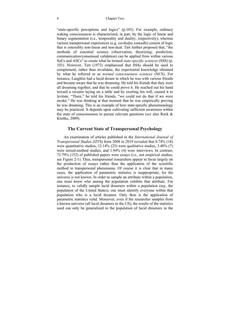"state-specific perceptions and logics" (p.103). For example, ordinary waking consciousness is characterized, in part, by the logic of linear and binary segmentation (*i.e.*, temporality and duality, respectively), whereas various transpersonal experiences (e.g. *savikalpa samadhi*) consist of logic that is ostensibly non-linear and non-dual. Tart further proposed that, "the methods of essential science (observation, theorizing, prediction, communication/consensual validation) can be applied from within various SoCs and ASCs" to create what he termed *state-specific sciences* (SSS) (p. 103). However, Tart (1972) emphasized that SSSs should be used to complement, rather than invalidate, the experiential knowledge obtained by what he referred to as *normal consciousness sciences* (NCS). For instance, Laughlin had a lucid dream in which he was with various friends and became aware that he was dreaming. He told his friends that they were all dreaming together, and that he could prove it. He reached out his hand toward a sweater laying on a table and by exerting his will, caused it to levitate. "There," he told his friends, "we could not do that if we were awake." He was thinking at that moment that he was empirically proving he was dreaming. This is an example of how state-specific phenomenology may be practiced. It depends upon cultivating sufficient awareness within the state of consciousness to pursue relevant questions (*see* also Rock & Klettke, 2009).

### **The Current State of Transpersonal Psychology**

An examination of articles published in the *International Journal of Transpersonal Studies* (IJTS) from 2008 to 2019 revealed that 8.74% (18) were quantitative studies, 12.14% (25) were qualitative studies, 3.40% (7) were mixed-method studies, and 1.94% (4) were interviews. In contrast, 73.79% (152) of published papers were essays (i.e., not empirical studies; see Figure 2-1). Thus, transpersonal researchers appear to focus largely on the production of essays rather than the application of the scientific method to transpersonal phenomena. Of course it is clear that in many cases, the application of parametric statistics is inappropriate, for the universe is not known. In order to sample an attribute within a population, one must know who among the population exhibits that attribute. For instance, to validly sample lucid dreamers within a population (say, the population of the United States), one must identify everyone within that population who is a lucid dreamer. Only then is the application of parametric statistics valid. Moreover, even if the researcher samples from a known universe (all lucid dreamers in the US), the results of the statistics used can only be generalized to the population of lucid dreamers in the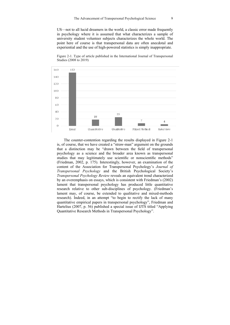US—not to all lucid dreamers in the world, a classic error made frequently in psychology where it is assumed that what characterizes a sample of university student volunteer subjects characterizes the whole world. The point here of course is that transpersonal data are often anecdotal and experiential and the use of high-powered statistics is simply inappropriate.

Figure 2-1. Type of article published in the International Journal of Transpersonal Studies (2008 to 2019)



The counter-contention regarding the results displayed in Figure 2-1 is, of course, that we have created a "straw-man" argument on the grounds that a distinction may be "drawn between the field of transpersonal psychology as a science and the broader area known as transpersonal studies that may legitimately use scientific or nonscientific methods" (Friedman, 2002, p. 175). Interestingly, however, an examination of the content of the Association for Transpersonal Psychology's *Journal of Transpersonal Psychology* and the British Psychological Society's *Transpersonal Psychology Review* reveals an equivalent trend characterized by an overemphasis on essays, which is consistent with Friedman's (2002) lament that transpersonal psychology has produced little quantitative research relative to other sub-disciplines of psychology. (Friedman's lament may, of course, be extended to qualitative and mixed-methods research). Indeed, in an attempt "to begin to rectify the lack of many quantitative empirical papers in transpersonal psychology", Friedman and Hartelius (2007, p. 56) published a special issue of IJTS titled "Applying Quantitative Research Methods in Transpersonal Psychology".